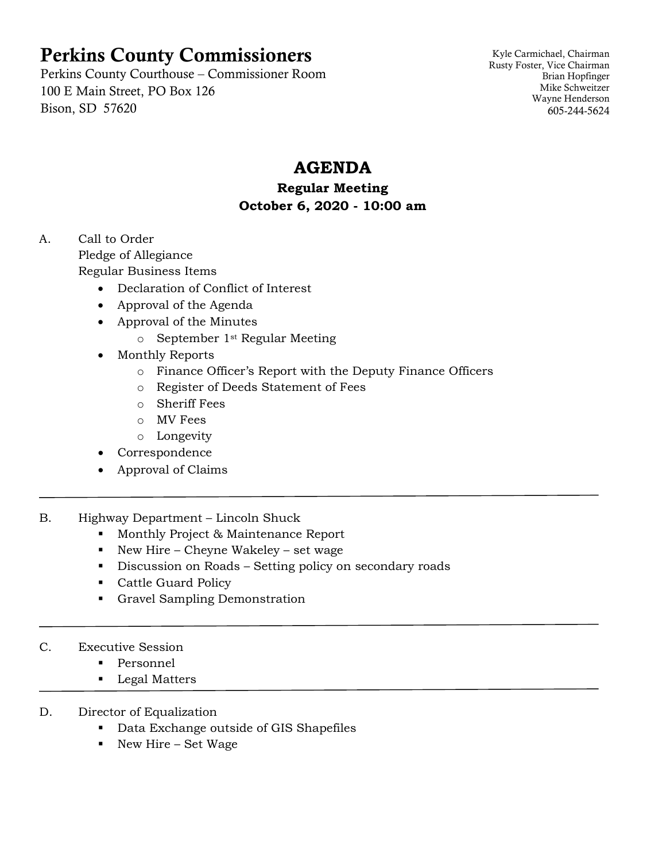# Perkins County Commissioners

Perkins County Courthouse – Commissioner Room 100 E Main Street, PO Box 126 Bison, SD 57620

Kyle Carmichael, Chairman Rusty Foster, Vice Chairman Brian Hopfinger Mike Schweitzer Wayne Henderson 605-244-5624

# **AGENDA**

### **Regular Meeting October 6, 2020 - 10:00 am**

A. Call to Order Pledge of Allegiance Regular Business Items

- Declaration of Conflict of Interest
- Approval of the Agenda
- Approval of the Minutes
	- o September 1st Regular Meeting
- Monthly Reports
	- o Finance Officer's Report with the Deputy Finance Officers
	- o Register of Deeds Statement of Fees
	- o Sheriff Fees
	- o MV Fees
	- o Longevity
- Correspondence
- Approval of Claims
- B. Highway Department Lincoln Shuck
	- **Monthly Project & Maintenance Report**
	- New Hire Cheyne Wakeley set wage
	- Discussion on Roads Setting policy on secondary roads
	- Cattle Guard Policy
	- Gravel Sampling Demonstration
- C. Executive Session
	- **Personnel**
	- **Legal Matters**
- D. Director of Equalization
	- **Data Exchange outside of GIS Shapefiles**
	- New Hire Set Wage